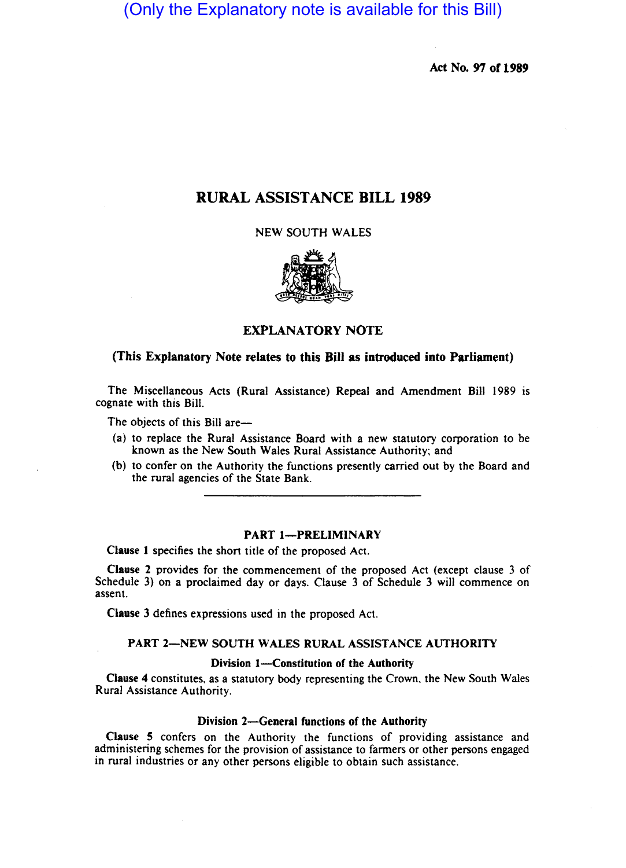(Only the Explanatory note is available for this Bill)

Act No. 97 of 1989

# RURAL ASSISTANCE BILL 1989

**NEW SOUTH WALES** 



# EXPLANATORY NOTE

# (This Explanatory Note relates to his Bill as introduced into Parliament)

The Miscellaneous Acts (Rural Assistance) Repeal and Amendment Bill 1989 is cognate with this Bill.

The objects of this Bill are-

- (a) to replace the Rural Assistance Board with a new statutory corporation to be known as the New South Wales Rural Assistance Authority; and
- (b) to confer on the Authority the functions presently carried out by the Board and the rural agencies of the State Bank.

# PART 1-PRELIMINARY

Clause I specifies the short title of the proposed Act.

Clause 2 provides for the commencerent of the proposed Act (except clause 3 of Schedule 3) on a proclaimed day or days. Clause 3 of Schedule 3 will commence on assent.

Clause 3 defines expressions used in the proposed Act.

### PART 2-NEW SOUTH WALES RURAL ASSISTANCE AUTHORITY

#### Division 1-Constitution of the Authority

Clause 4 constitutes. as a statutory body representing the Crown. the New South Wales Rural Assistance Authority.

#### Division 2-General functions of the Authority

Clause 5 confers on the Authority the functions of providing assistance and administering schemes for the provision of assistance to farmers or other persons engaged in rural industries or any other persons eligible to obtain such assistance.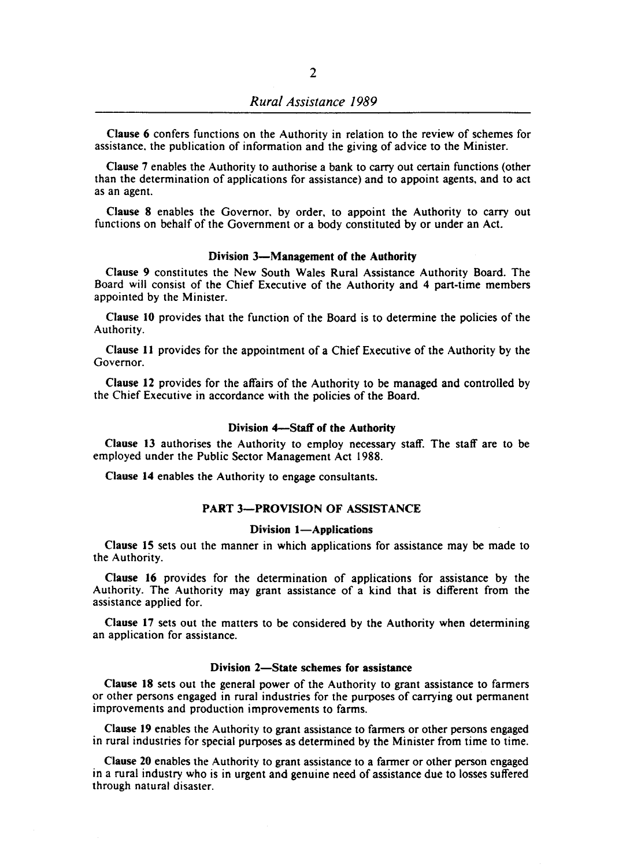Clause 6 confers functions on the Authority in relation to the review of schemes for assistance. the publication of information and the giving of advice to the Minister.

Clause 7 enables the Authority to authorise a bank to carry out certain functions (other than the determination of applications for assistance) and to appoint agents, and to act as an agent.

Clause 8 enables the Governor. by order, to appoint the Authority to carry out functions on behalf of the Government or a body constituted by or under an Act.

#### Division 3-Management of the Authority

Clause 9 constitutes the New South Wales Rural Assistance Authority Board. The Board will consist of the Chief Executive of the Authority and 4 part-time members appointed by the Minister.

Clause 10 provides that the function of the Board is to determine the policies of the Authority.

Clause 11 provides for the appointment of a Chief Executive of the Authority by the Governor.

Clause 12 provides for the affairs of the Authority to be managed and controlled by the Chief Executive in accordance with the policies of the Board.

#### Division 4-Staff of the Authority

Clause 13 authorises the Authority to employ necessary staff. The staff are to be employed under the Public Sector Management Act 1988.

Clause 14 enables the Authority to engage consultants.

### PART 3-PROVISION OF ASSISTANCE

#### Division 1-Applications

Clause IS sets out the manner in which applications for assistance may be made to the Authority.

Clause 16 provides for the determination of applications for assistance by the Authority. The Authority may grant assistance of a kind that is different from the assistance applied for.

Clause 17 sets out the matters to be considered by the Authority when determining an application for assistance.

### Division 2-State schemes for assistance

Clause 18 sets out the general power of the Authority to grant assistance to farmers or other persons engaged in rural industries for the purposes of carrying out permanent improvements and production improvements to farms.

Clause 19 enables the Authority to grant assistance to farmers or other persons engaged in rural industries for special purposes as determined by the Minister from time to time.

Clause 20 enables the Authority to grant assistance to a farmer or other person engaged in a rural industry who is in urgent and genuine need of assistance due to losses suffered through natural disaster.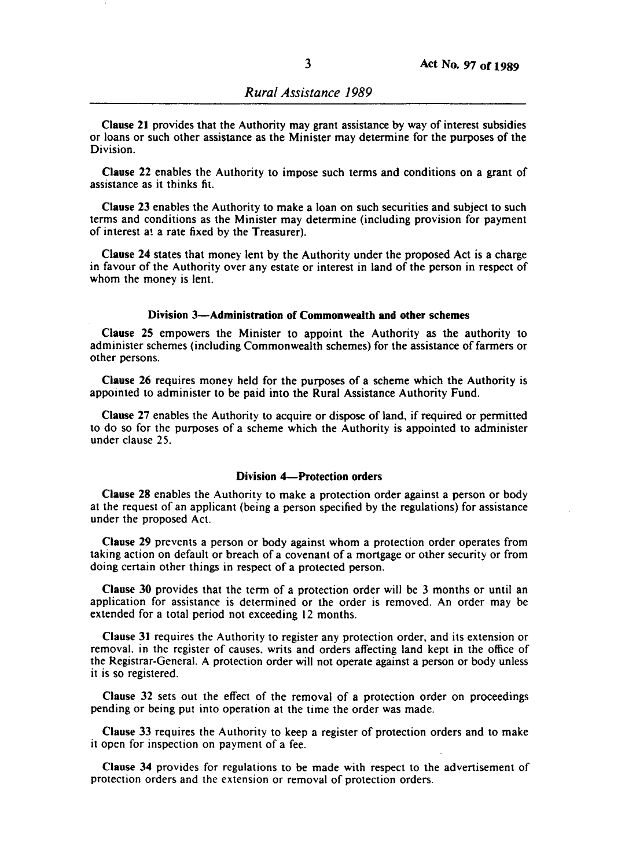Clause 21 provides that the Authority may grant assistance by way of interest subsidies or loans or such other assistance as the Minister may determine for the purposes of the Division.

Clause 22 enables the Authority to impose such terms and conditions on a grant of assistance as it thinks fit.

Clause 23 enables the Authority to make a loan on such securities and subject to such terms and conditions as the Minister may determine (including provision for payment of interest a! a rate fixed by the Treasurer).

Clause 24 states that money lent by the Authority under the proposed Act is a charge in favour of the Authority over any estate or interest in land of the person in respect of whom the money is lent.

#### Division 3-Administration of Commonwealth **and** other schemes

Clause 25 empowers the Minister to appoint the Authority as the authority to administer schemes (including Commonwealth schemes) for the assistance of farmers or other persons.

Clause 26 requires money held for the purposes of a scheme which the Authority is appointed to administer to be paid into the Rural Assistance Authority Fund.

Clause 27 enables the Authority to acquire or dispose of land, if required or permitted to do so for the purposes of a scheme which the Authority is appointed to administer under clause 25.

### Division 4-Protection orders

Clause 28 enables the Authority to make a protection order against a person or body at the request of an applicant (being a person specified by the regulations) for assistance under the proposed Act.

Clause 29 prevents a person or body against whom a protection order operates from taking action on default or breach of a covenant of a mortgage or other security or from doing certain other things in respect of a protected person.

Clause 30 provides that the term of a protection order will be 3 months or until an application for assistance is determined or the order is removed. An order may be extended for a total period not exceeding 12 months.

Clause 31 requires the Authority to register any protection order, and its extension or removal. in the register of causes, writs and orders affecting land kept in the office of the Registrar-General. A protection order will not operate against a person or body unless it is so registered.

Clause 32 sets out the effect of the removal of a protection order on proceedings pending or being put into operation at the time the order was made.

Clause 33 requires the Authority to keep a register of protection orders and to make it open for inspection on payment of a fee.

Clause 34 provides for regulations to be made with respect to the advertisement of protection orders and the extension or removal of protection orders.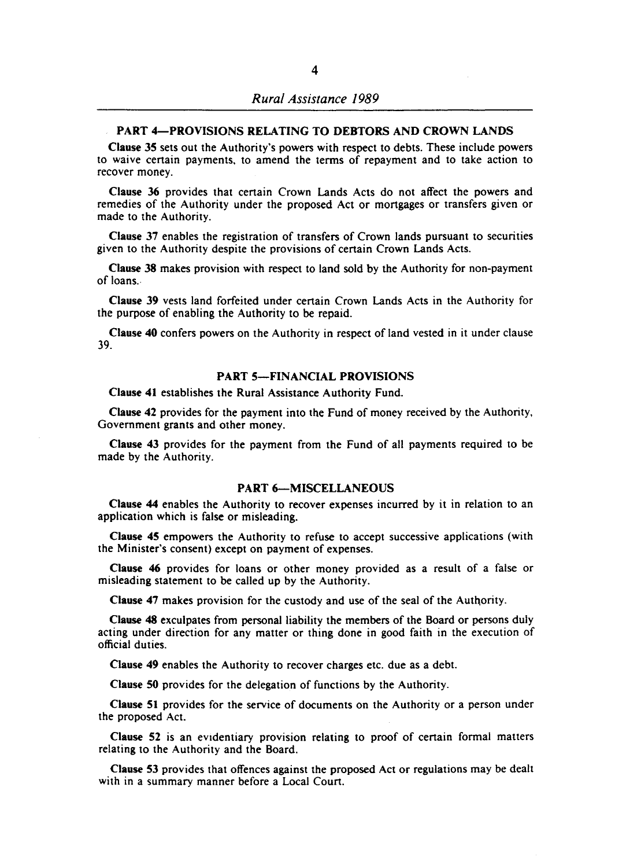### PART 4-PROVISIONS RELATING TO DEBTORS AND CROWN LANDS

Clause 35 sets out the Authority's powers with respect to debts. These include powers to waive certain payments, to amend the terms of repayment and to take action to recover money.

Clause 36 provides that certain Crown Lands Acts do not affect the powers and remedies of the Authority under the proposed Act or mortgages or transfers given or made to the Authority.

Clause 37 enables the registration of transfers of Crown lands pursuant to securities given to the Authority despite the provisions of certain Crown Lands Acts.

Clause 38 makes provision with respect to land sold by the Authority for non-payment of loans.·

Clause 39 vests land forfeited under certain Crown Lands Acts in the Authority for the purpose of enabling the Authority to be repaid.

Clause 40 confers powers on the Authority in respect of land vested in it under clause 39.

# PART 5-FINANCIAL PROVISIONS

Clause 41 establishes the Rural Assistance Authority Fund.

Clause 42 provides for the payment into the Fund of money received by the Authority, Government grants and other money.

Clause 43 provides for the payment from the Fund of all payments required to be made by the Authority.

### PART 6-MISCELLANEOUS

Clause 44 enables the Authority to recover expenses incurred by it in relation to an application which is false or misleading.

Clause 45 empowers the Authority to refuse to accept successive applications (with the Minister's consent) except on payment of expenses.

Clause 46 provides for loans or other money provided as a result of a false or misleading statement to be called up by the Authority.

Clause 47 makes provision for the custody and use of the seal of the Authority.

Clause 48 exculpates from personal liability the members of the Board or persons duly acting under direction for any matter or thing done in good faith in the execution of official duties.

Clause 49 enables the Authority to recover charges etc. due as a debt.

Clause SO provides for the delegation of functions by the Authority.

Clause 51 provides for the service of documents on the Authority or a person under the proposed Act.

Clause 52 is an evidentiary provision relating to proof of certain formal matters relating to the Authority and the Board.

Clause 53 provides that offences against the proposed Act or regulations may be dealt with in a summary manner before a Local Court.